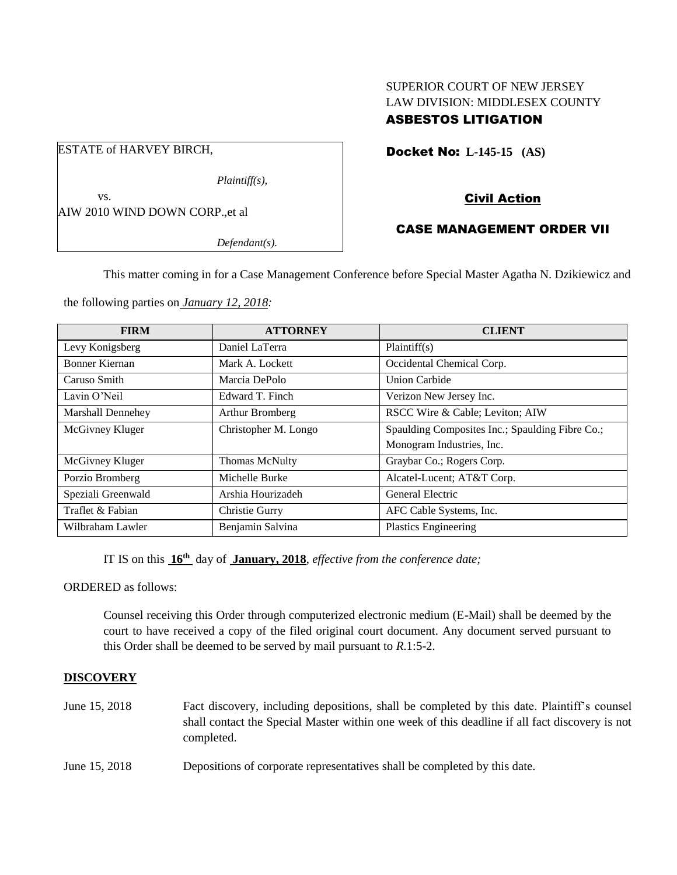## SUPERIOR COURT OF NEW JERSEY LAW DIVISION: MIDDLESEX COUNTY ASBESTOS LITIGATION

Docket No: **L-145-15 (AS)** 

Civil Action

# CASE MANAGEMENT ORDER VII

This matter coming in for a Case Management Conference before Special Master Agatha N. Dzikiewicz and

the following parties on *January 12, 2018:*

| <b>FIRM</b>           | <b>ATTORNEY</b>       | <b>CLIENT</b>                                   |
|-----------------------|-----------------------|-------------------------------------------------|
| Levy Konigsberg       | Daniel LaTerra        | Plaintiff(s)                                    |
| <b>Bonner Kiernan</b> | Mark A. Lockett       | Occidental Chemical Corp.                       |
| Caruso Smith          | Marcia DePolo         | <b>Union Carbide</b>                            |
| Lavin O'Neil          | Edward T. Finch       | Verizon New Jersey Inc.                         |
| Marshall Dennehey     | Arthur Bromberg       | RSCC Wire & Cable; Leviton; AIW                 |
| McGivney Kluger       | Christopher M. Longo  | Spaulding Composites Inc.; Spaulding Fibre Co.; |
|                       |                       | Monogram Industries, Inc.                       |
| McGivney Kluger       | <b>Thomas McNulty</b> | Graybar Co.; Rogers Corp.                       |
| Porzio Bromberg       | Michelle Burke        | Alcatel-Lucent; AT&T Corp.                      |
| Speziali Greenwald    | Arshia Hourizadeh     | General Electric                                |
| Traflet & Fabian      | Christie Gurry        | AFC Cable Systems, Inc.                         |
| Wilbraham Lawler      | Benjamin Salvina      | <b>Plastics Engineering</b>                     |

IT IS on this  $16<sup>th</sup>$  day of January, 2018, *effective from the conference date*;

ORDERED as follows:

Counsel receiving this Order through computerized electronic medium (E-Mail) shall be deemed by the court to have received a copy of the filed original court document. Any document served pursuant to this Order shall be deemed to be served by mail pursuant to *R*.1:5-2.

## **DISCOVERY**

- June 15, 2018 Fact discovery, including depositions, shall be completed by this date. Plaintiff's counsel shall contact the Special Master within one week of this deadline if all fact discovery is not completed.
- June 15, 2018 Depositions of corporate representatives shall be completed by this date.

ESTATE of HARVEY BIRCH,

*Plaintiff(s),*

*Defendant(s).*

vs. AIW 2010 WIND DOWN CORP.,et al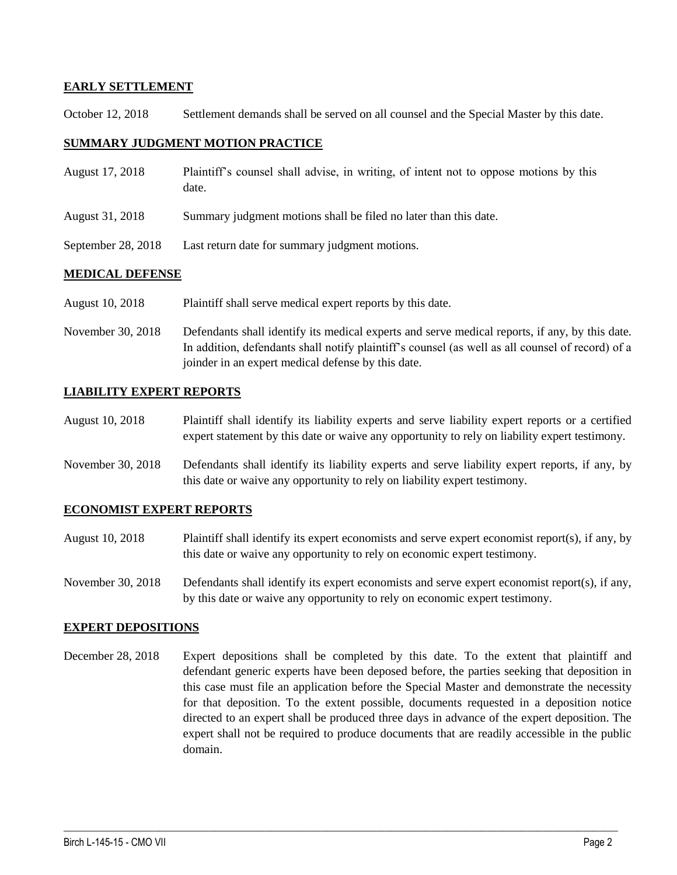### **EARLY SETTLEMENT**

October 12, 2018 Settlement demands shall be served on all counsel and the Special Master by this date.

#### **SUMMARY JUDGMENT MOTION PRACTICE**

| August 17, 2018    | Plaintiff's counsel shall advise, in writing, of intent not to oppose motions by this<br>date. |
|--------------------|------------------------------------------------------------------------------------------------|
| August 31, 2018    | Summary judgment motions shall be filed no later than this date.                               |
| September 28, 2018 | Last return date for summary judgment motions.                                                 |
|                    |                                                                                                |

### **MEDICAL DEFENSE**

August 10, 2018 Plaintiff shall serve medical expert reports by this date.

November 30, 2018 Defendants shall identify its medical experts and serve medical reports, if any, by this date. In addition, defendants shall notify plaintiff's counsel (as well as all counsel of record) of a joinder in an expert medical defense by this date.

## **LIABILITY EXPERT REPORTS**

August 10, 2018 Plaintiff shall identify its liability experts and serve liability expert reports or a certified expert statement by this date or waive any opportunity to rely on liability expert testimony.

November 30, 2018 Defendants shall identify its liability experts and serve liability expert reports, if any, by this date or waive any opportunity to rely on liability expert testimony.

#### **ECONOMIST EXPERT REPORTS**

- August 10, 2018 Plaintiff shall identify its expert economists and serve expert economist report(s), if any, by this date or waive any opportunity to rely on economic expert testimony.
- November 30, 2018 Defendants shall identify its expert economists and serve expert economist report(s), if any, by this date or waive any opportunity to rely on economic expert testimony.

#### **EXPERT DEPOSITIONS**

December 28, 2018 Expert depositions shall be completed by this date. To the extent that plaintiff and defendant generic experts have been deposed before, the parties seeking that deposition in this case must file an application before the Special Master and demonstrate the necessity for that deposition. To the extent possible, documents requested in a deposition notice directed to an expert shall be produced three days in advance of the expert deposition. The expert shall not be required to produce documents that are readily accessible in the public domain.

 $\_$  ,  $\_$  ,  $\_$  ,  $\_$  ,  $\_$  ,  $\_$  ,  $\_$  ,  $\_$  ,  $\_$  ,  $\_$  ,  $\_$  ,  $\_$  ,  $\_$  ,  $\_$  ,  $\_$  ,  $\_$  ,  $\_$  ,  $\_$  ,  $\_$  ,  $\_$  ,  $\_$  ,  $\_$  ,  $\_$  ,  $\_$  ,  $\_$  ,  $\_$  ,  $\_$  ,  $\_$  ,  $\_$  ,  $\_$  ,  $\_$  ,  $\_$  ,  $\_$  ,  $\_$  ,  $\_$  ,  $\_$  ,  $\_$  ,